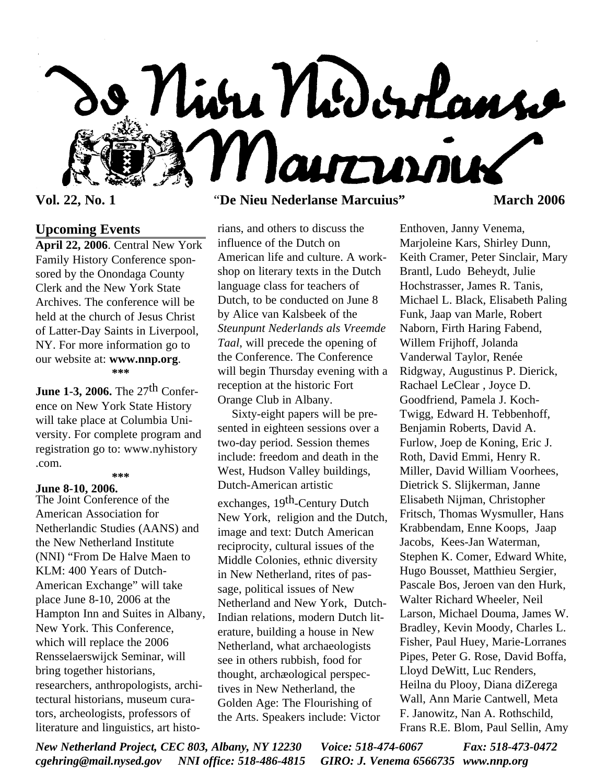

## **Upcoming Events**

**April 22, 2006**. Central New York Family History Conference sponsored by the Onondaga County Clerk and the New York State Archives. The conference will be held at the church of Jesus Christ of Latter-Day Saints in Liverpool, NY. For more information go to our website at: **www.nnp.org**. **\*\*\***

**June 1-3, 2006.** The 27<sup>th</sup> Conference on New York State History will take place at Columbia University. For complete program and registration go to: www.nyhistory .com. **\*\*\***

## **June 8-10, 2006.**

The Joint Conference of the American Association for Netherlandic Studies (AANS) and the New Netherland Institute (NNI) "From De Halve Maen to KLM: 400 Years of Dutch-American Exchange" will take place June 8-10, 2006 at the Hampton Inn and Suites in Albany, New York. This Conference, which will replace the 2006 Rensselaerswijck Seminar, will bring together historians, researchers, anthropologists, architectural historians, museum curators, archeologists, professors of literature and linguistics, art histo-

## **Vol. 22, No. 1** "**De Nieu Nederlanse Marcuius" March 2006**

rians, and others to discuss the influence of the Dutch on American life and culture. A workshop on literary texts in the Dutch language class for teachers of Dutch, to be conducted on June 8 by Alice van Kalsbeek of the *Steunpunt Nederlands als Vreemde Taal*, will precede the opening of the Conference. The Conference will begin Thursday evening with a reception at the historic Fort Orange Club in Albany.

Sixty-eight papers will be presented in eighteen sessions over a two-day period. Session themes include: freedom and death in the West, Hudson Valley buildings, Dutch-American artistic exchanges, 19<sup>th</sup>-Century Dutch New York, religion and the Dutch, image and text: Dutch American reciprocity, cultural issues of the Middle Colonies, ethnic diversity in New Netherland, rites of passage, political issues of New Netherland and New York, Dutch-Indian relations, modern Dutch literature, building a house in New Netherland, what archaeologists see in others rubbish, food for thought, archæological perspectives in New Netherland, the Golden Age: The Flourishing of the Arts. Speakers include: Victor

Enthoven, Janny Venema, Marjoleine Kars, Shirley Dunn, Keith Cramer, Peter Sinclair, Mary Brantl, Ludo Beheydt, Julie Hochstrasser, James R. Tanis, Michael L. Black, Elisabeth Paling Funk, Jaap van Marle, Robert Naborn, Firth Haring Fabend, Willem Frijhoff, Jolanda Vanderwal Taylor, Renée Ridgway, Augustinus P. Dierick, Rachael LeClear , Joyce D. Goodfriend, Pamela J. Koch-Twigg, Edward H. Tebbenhoff, Benjamin Roberts, David A. Furlow, Joep de Koning, Eric J. Roth, David Emmi, Henry R. Miller, David William Voorhees, Dietrick S. Slijkerman, Janne Elisabeth Nijman, Christopher Fritsch, Thomas Wysmuller, Hans Krabbendam, Enne Koops, Jaap Jacobs, Kees-Jan Waterman, Stephen K. Comer, Edward White, Hugo Bousset, Matthieu Sergier, Pascale Bos, Jeroen van den Hurk, Walter Richard Wheeler, Neil Larson, Michael Douma, James W. Bradley, Kevin Moody, Charles L. Fisher, Paul Huey, Marie-Lorranes Pipes, Peter G. Rose, David Boffa, Lloyd DeWitt, Luc Renders, Heilna du Plooy, Diana diZerega Wall, Ann Marie Cantwell, Meta F. Janowitz, Nan A. Rothschild, Frans R.E. Blom, Paul Sellin, Amy

*New Netherland Project, CEC 803, Albany, NY 12230 Voice: 518-474-6067 Fax: 518-473-0472 cgehring@mail.nysed.gov NNI office: 518-486-4815 GIRO: J. Venema 6566735 www.nnp.org*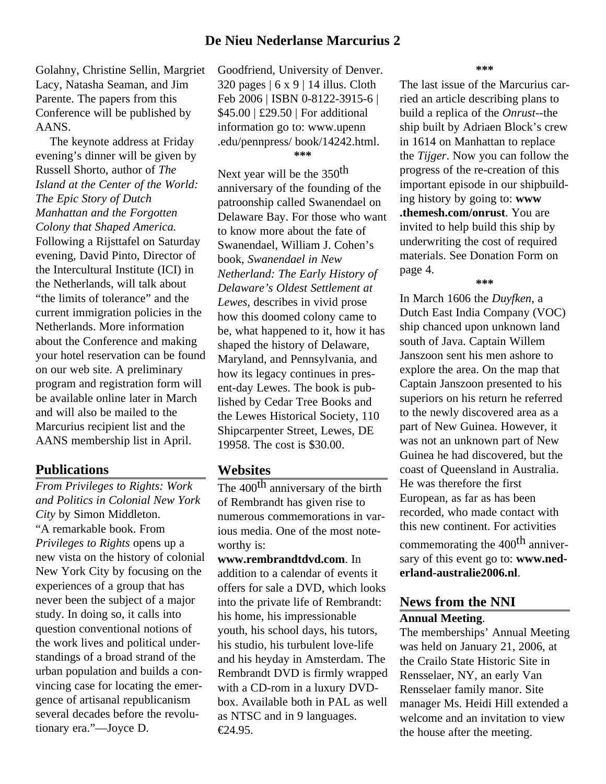## **De Nieu Nederlanse Marcurius 2**

Golahny, Christine Sellin, Margriet Lacy, Natasha Seaman, and Jim Parente. The papers from this Conference will be published by AANS.

The keynote address at Friday evening's dinner will be given by Russell Shorto, author of *The Island at the Center of the World: The Epic Story of Dutch Manhattan and the Forgotten Colony that Shaped America.* Following a Rijsttafel on Saturday evening, David Pinto, Director of the Intercultural Institute (ICI) in the Netherlands, will talk about "the limits of tolerance" and the current immigration policies in the Netherlands. More information about the Conference and making your hotel reservation can be found on our web site. A preliminary program and registration form will be available online later in March and will also be mailed to the Marcurius recipient list and the AANS membership list in April.

## **Publications**

*From Privileges to Rights: Work and Politics in Colonial New York City* by Simon Middleton. "A remarkable book. From *Privileges to Rights* opens up a new vista on the history of colonial New York City by focusing on the experiences of a group that has never been the subject of a major study. In doing so, it calls into question conventional notions of the work lives and political understandings of a broad strand of the urban population and builds a convincing case for locating the emergence of artisanal republicanism several decades before the revolutionary era."—Joyce D.

Goodfriend, University of Denver.  $320$  pages  $\vert 6 \times 9 \vert 14$  illus. Cloth Feb 2006 | ISBN 0-8122-3915-6 | \$45.00 | £29.50 | For additional information go to: www.upenn .edu/pennpress/ book/14242.html. **\*\*\***

Next year will be the 350<sup>th</sup> anniversary of the founding of the patroonship called Swanendael on Delaware Bay. For those who want to know more about the fate of Swanendael, William J. Cohen's book, *Swanendael in New Netherland: The Early History of Delaware's Oldest Settlement at Lewes*, describes in vivid prose how this doomed colony came to be, what happened to it, how it has shaped the history of Delaware, Maryland, and Pennsylvania, and how its legacy continues in present-day Lewes. The book is published by Cedar Tree Books and the Lewes Historical Society, 110 Shipcarpenter Street, Lewes, DE 19958. The cost is \$30.00.

### **Websites**

The 400<sup>th</sup> anniversary of the birth of Rembrandt has given rise to numerous commemorations in various media. One of the most noteworthy is:

**www.rembrandtdvd.com**. In addition to a calendar of events it offers for sale a DVD, which looks into the private life of Rembrandt: his home, his impressionable youth, his school days, his tutors, his studio, his turbulent love-life and his heyday in Amsterdam. The Rembrandt DVD is firmly wrapped with a CD-rom in a luxury DVDbox. Available both in PAL as well as NTSC and in 9 languages. €24.95.

**\*\*\***

The last issue of the Marcurius carried an article describing plans to build a replica of the *Onrust*--the ship built by Adriaen Block's crew in 1614 on Manhattan to replace the *Tijger*. Now you can follow the progress of the re-creation of this important episode in our shipbuilding history by going to: **www .themesh.com/onrust**. You are invited to help build this ship by underwriting the cost of required materials. See Donation Form on page 4.

#### **\*\*\***

In March 1606 the *Duyfken*, a Dutch East India Company (VOC) ship chanced upon unknown land south of Java. Captain Willem Janszoon sent his men ashore to explore the area. On the map that Captain Janszoon presented to his superiors on his return he referred to the newly discovered area as a part of New Guinea. However, it was not an unknown part of New Guinea he had discovered, but the coast of Queensland in Australia. He was therefore the first European, as far as has been recorded, who made contact with this new continent. For activities

commemorating the  $400<sup>th</sup>$  anniversary of this event go to: **www.nederland-australie2006.nl**.

# **News from the NNI**

## **Annual Meeting**.

The memberships' Annual Meeting was held on January 21, 2006, at the Crailo State Historic Site in Rensselaer, NY, an early Van Rensselaer family manor. Site manager Ms. Heidi Hill extended a welcome and an invitation to view the house after the meeting.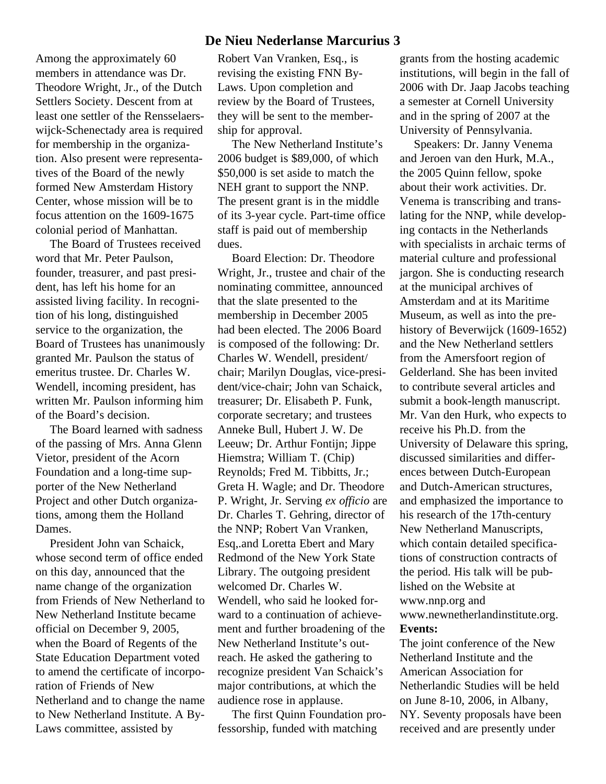Among the approximately 60 members in attendance was Dr. Theodore Wright, Jr., of the Dutch Settlers Society. Descent from at least one settler of the Rensselaerswijck-Schenectady area is required for membership in the organization. Also present were representatives of the Board of the newly formed New Amsterdam History Center, whose mission will be to focus attention on the 1609-1675 colonial period of Manhattan.

The Board of Trustees received word that Mr. Peter Paulson, founder, treasurer, and past president, has left his home for an assisted living facility. In recognition of his long, distinguished service to the organization, the Board of Trustees has unanimously granted Mr. Paulson the status of emeritus trustee. Dr. Charles W. Wendell, incoming president, has written Mr. Paulson informing him of the Board's decision.

The Board learned with sadness of the passing of Mrs. Anna Glenn Vietor, president of the Acorn Foundation and a long-time supporter of the New Netherland Project and other Dutch organizations, among them the Holland Dames.

President John van Schaick, whose second term of office ended on this day, announced that the name change of the organization from Friends of New Netherland to New Netherland Institute became official on December 9, 2005, when the Board of Regents of the State Education Department voted to amend the certificate of incorporation of Friends of New Netherland and to change the name to New Netherland Institute. A By-Laws committee, assisted by

## **De Nieu Nederlanse Marcurius 3**

Robert Van Vranken, Esq., is revising the existing FNN By-Laws. Upon completion and review by the Board of Trustees, they will be sent to the membership for approval.

The New Netherland Institute's 2006 budget is \$89,000, of which \$50,000 is set aside to match the NEH grant to support the NNP. The present grant is in the middle of its 3-year cycle. Part-time office staff is paid out of membership dues.

Board Election: Dr. Theodore Wright, Jr., trustee and chair of the nominating committee, announced that the slate presented to the membership in December 2005 had been elected. The 2006 Board is composed of the following: Dr. Charles W. Wendell, president/ chair; Marilyn Douglas, vice-president/vice-chair; John van Schaick, treasurer; Dr. Elisabeth P. Funk, corporate secretary; and trustees Anneke Bull, Hubert J. W. De Leeuw; Dr. Arthur Fontijn; Jippe Hiemstra; William T. (Chip) Reynolds; Fred M. Tibbitts, Jr.; Greta H. Wagle; and Dr. Theodore P. Wright, Jr. Serving *ex officio* are Dr. Charles T. Gehring, director of the NNP; Robert Van Vranken, Esq,.and Loretta Ebert and Mary Redmond of the New York State Library. The outgoing president welcomed Dr. Charles W. Wendell, who said he looked forward to a continuation of achievement and further broadening of the New Netherland Institute's outreach. He asked the gathering to recognize president Van Schaick's major contributions, at which the audience rose in applause.

The first Quinn Foundation professorship, funded with matching

grants from the hosting academic institutions, will begin in the fall of 2006 with Dr. Jaap Jacobs teaching a semester at Cornell University and in the spring of 2007 at the University of Pennsylvania.

Speakers: Dr. Janny Venema and Jeroen van den Hurk, M.A., the 2005 Quinn fellow, spoke about their work activities. Dr. Venema is transcribing and translating for the NNP, while developing contacts in the Netherlands with specialists in archaic terms of material culture and professional jargon. She is conducting research at the municipal archives of Amsterdam and at its Maritime Museum, as well as into the prehistory of Beverwijck (1609-1652) and the New Netherland settlers from the Amersfoort region of Gelderland. She has been invited to contribute several articles and submit a book-length manuscript. Mr. Van den Hurk, who expects to receive his Ph.D. from the University of Delaware this spring, discussed similarities and differences between Dutch-European and Dutch-American structures, and emphasized the importance to his research of the 17th-century New Netherland Manuscripts, which contain detailed specifications of construction contracts of the period. His talk will be published on the Website at www.nnp.org and www.newnetherlandinstitute.org. **Events:**

The joint conference of the New Netherland Institute and the American Association for Netherlandic Studies will be held on June 8-10, 2006, in Albany, NY. Seventy proposals have been received and are presently under